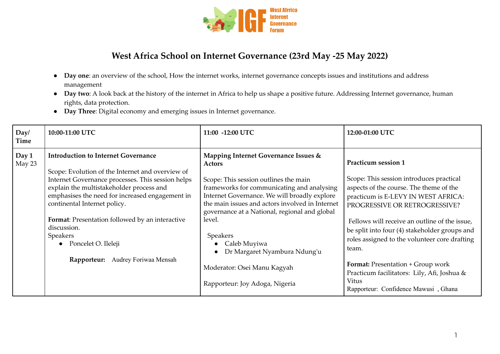

## **West Africa School on Internet Governance (23rd May -25 May 2022)**

- **Day one**: an overview of the school, How the internet works, internet governance concepts issues and institutions and address management
- **Day two**: A look back at the history of the internet in Africa to help us shape a positive future. Addressing Internet governance, human rights, data protection.
- **Day Three**: Digital economy and emerging issues in Internet governance.

| Day/<br>Time    | 10:00-11:00 UTC                                                                                                                                                                                                                                                                                                                                                                                                                   | 11:00 -12:00 UTC                                                                                                                                                                                                                                                                                                                                                                                                                 | 12:00-01:00 UTC                                                                                                                                                                                                                                                                                                                                                                                                                                                                            |
|-----------------|-----------------------------------------------------------------------------------------------------------------------------------------------------------------------------------------------------------------------------------------------------------------------------------------------------------------------------------------------------------------------------------------------------------------------------------|----------------------------------------------------------------------------------------------------------------------------------------------------------------------------------------------------------------------------------------------------------------------------------------------------------------------------------------------------------------------------------------------------------------------------------|--------------------------------------------------------------------------------------------------------------------------------------------------------------------------------------------------------------------------------------------------------------------------------------------------------------------------------------------------------------------------------------------------------------------------------------------------------------------------------------------|
| Day 1<br>May 23 | <b>Introduction to Internet Governance</b><br>Scope: Evolution of the Internet and overview of<br>Internet Governance processes. This session helps<br>explain the multistakeholder process and<br>emphasises the need for increased engagement in<br>continental Internet policy.<br>Format: Presentation followed by an interactive<br>discussion.<br>Speakers<br>• Poncelet O. Ileleji<br>Audrey Foriwaa Mensah<br>Rapporteur: | Mapping Internet Governance Issues &<br>Actors<br>Scope: This session outlines the main<br>frameworks for communicating and analysing<br>Internet Governance. We will broadly explore<br>the main issues and actors involved in Internet<br>governance at a National, regional and global<br>level.<br>Speakers<br>Caleb Muyiwa<br>Dr Margaret Nyambura Ndung'u<br>Moderator: Osei Manu Kagyah<br>Rapporteur: Joy Adoga, Nigeria | Practicum session 1<br>Scope: This session introduces practical<br>aspects of the course. The theme of the<br>practicum is E-LEVY IN WEST AFRICA:<br>PROGRESSIVE OR RETROGRESSIVE?<br>Fellows will receive an outline of the issue,<br>be split into four (4) stakeholder groups and<br>roles assigned to the volunteer core drafting<br>team.<br><b>Format:</b> Presentation + Group work<br>Practicum facilitators: Lily, Afi, Joshua &<br>Vitus<br>Rapporteur: Confidence Mawusi, Ghana |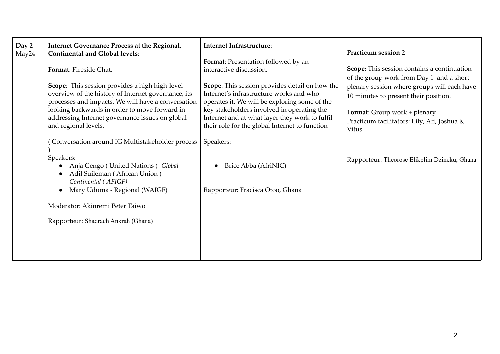| Day 2<br>May24 | Internet Governance Process at the Regional,<br><b>Continental and Global levels:</b><br>Format: Fireside Chat.<br>Scope: This session provides a high high-level<br>overview of the history of Internet governance, its<br>processes and impacts. We will have a conversation<br>looking backwards in order to move forward in<br>addressing Internet governance issues on global<br>and regional levels. | <b>Internet Infrastructure:</b><br>Format: Presentation followed by an<br>interactive discussion.<br>Scope: This session provides detail on how the<br>Internet's infrastructure works and who<br>operates it. We will be exploring some of the<br>key stakeholders involved in operating the<br>Internet and at what layer they work to fulfil<br>their role for the global Internet to function | Practicum session 2<br>Scope: This session contains a continuation<br>of the group work from Day 1 and a short<br>plenary session where groups will each have<br>10 minutes to present their position.<br>Format: Group work + plenary<br>Practicum facilitators: Lily, Afi, Joshua &<br>Vitus |
|----------------|------------------------------------------------------------------------------------------------------------------------------------------------------------------------------------------------------------------------------------------------------------------------------------------------------------------------------------------------------------------------------------------------------------|---------------------------------------------------------------------------------------------------------------------------------------------------------------------------------------------------------------------------------------------------------------------------------------------------------------------------------------------------------------------------------------------------|------------------------------------------------------------------------------------------------------------------------------------------------------------------------------------------------------------------------------------------------------------------------------------------------|
|                | Conversation around IG Multistakeholder process<br>Speakers:<br>Anja Gengo (United Nations) - Global<br>Adil Suileman (African Union) -<br>Continental (AFIGF)<br>Mary Uduma - Regional (WAIGF)<br>$\bullet$<br>Moderator: Akinremi Peter Taiwo<br>Rapporteur: Shadrach Ankrah (Ghana)                                                                                                                     | Speakers:<br>Brice Abba (AfriNIC)<br>Rapporteur: Fracisca Otoo, Ghana                                                                                                                                                                                                                                                                                                                             | Rapporteur: Theorose Elikplim Dzineku, Ghana                                                                                                                                                                                                                                                   |